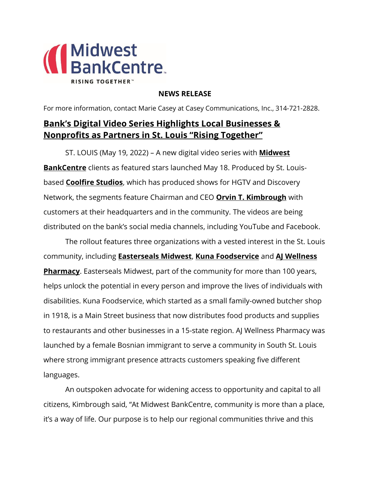

## **NEWS RELEASE**

For more information, contact Marie Casey at Casey Communications, Inc., 314-721-2828.

## **Bank's Digital Video Series Highlights Local Businesses & Nonprofits as Partners in St. Louis "Rising Together"**

ST. LOUIS (May 19, 2022) – A new digital video series with **Midwest BankCentre** clients as featured stars launched May 18. Produced by St. Louisbased **Coolfire Studios**, which has produced shows for HGTV and Discovery Network, the segments feature Chairman and CEO **Orvin T. Kimbrough** with customers at their headquarters and in the community. The videos are being distributed on the bank's social media channels, including YouTube and Facebook.

The rollout features three organizations with a vested interest in the St. Louis community, including **Easterseals Midwest**, **Kuna Foodservice** and **AJ Wellness Pharmacy**. Easterseals Midwest, part of the community for more than 100 years, helps unlock the potential in every person and improve the lives of individuals with disabilities. Kuna Foodservice, which started as a small family-owned butcher shop in 1918, is a Main Street business that now distributes food products and supplies to restaurants and other businesses in a 15-state region. AJ Wellness Pharmacy was launched by a female Bosnian immigrant to serve a community in South St. Louis where strong immigrant presence attracts customers speaking five different languages.

An outspoken advocate for widening access to opportunity and capital to all citizens, Kimbrough said, "At Midwest BankCentre, community is more than a place, it's a way of life. Our purpose is to help our regional communities thrive and this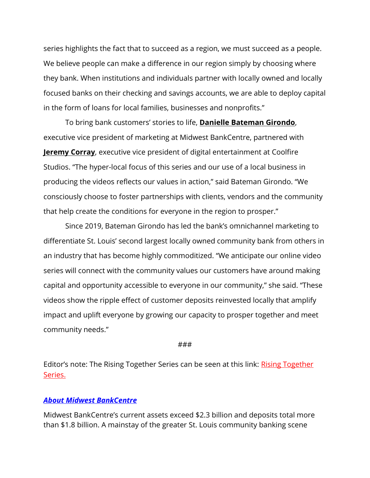series highlights the fact that to succeed as a region, we must succeed as a people. We believe people can make a difference in our region simply by choosing where they bank. When institutions and individuals partner with locally owned and locally focused banks on their checking and savings accounts, we are able to deploy capital in the form of loans for local families, businesses and nonprofits."

To bring bank customers' stories to life, **Danielle Bateman Girondo**, executive vice president of marketing at Midwest BankCentre, partnered with **Jeremy Corray**, executive vice president of digital entertainment at Coolfire Studios. "The hyper-local focus of this series and our use of a local business in producing the videos reflects our values in action," said Bateman Girondo. "We consciously choose to foster partnerships with clients, vendors and the community that help create the conditions for everyone in the region to prosper."

Since 2019, Bateman Girondo has led the bank's omnichannel marketing to differentiate St. Louis' second largest locally owned community bank from others in an industry that has become highly commoditized. "We anticipate our online video series will connect with the community values our customers have around making capital and opportunity accessible to everyone in our community," she said. "These videos show the ripple effect of customer deposits reinvested locally that amplify impact and uplift everyone by growing our capacity to prosper together and meet community needs."

###

Editor's note: The [Rising Together](https://learn.midwestbankcentre.com/rising-together/?utm_source=BenchmarkEmail&utm_campaign=RisingTogether&utm_medium=email) Series can be seen at this link: **Rising Together** [Series.](https://learn.midwestbankcentre.com/rising-together/?utm_source=BenchmarkEmail&utm_campaign=RisingTogether&utm_medium=email)

## *[About Midwest BankCentre](http://www.midwestbankcentre.com/)*

Midwest BankCentre's current assets exceed \$2.3 billion and deposits total more than \$1.8 billion. A mainstay of the greater St. Louis community banking scene